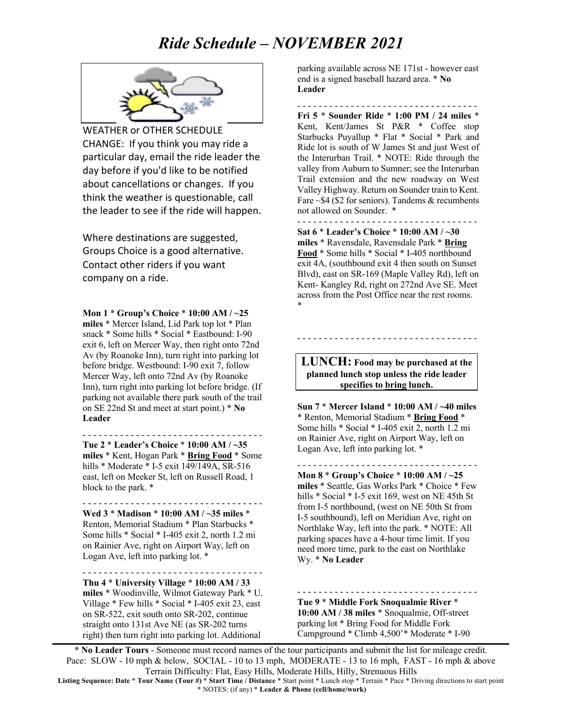## *Ride Schedule – NOVEMBER 2021*



WEATHER or OTHER SCHEDULE CHANGE: If you think you may ride a particular day, email the ride leader the day before if you'd like to be notified about cancellations or changes. If you think the weather is questionable, call the leader to see if the ride will happen.

Where destinations are suggested, Groups Choice is a good alternative. Contact other riders if you want company on a ride.

**Mon 1** \* **Group's Choice** \* **10:00 AM / ~25 miles** \* Mercer Island, Lid Park top lot \* Plan snack \* Some hills \* Social \* Eastbound: I-90 exit 6, left on Mercer Way, then right onto 72nd Av (by Roanoke Inn), turn right into parking lot before bridge. Westbound: I-90 exit 7, follow Mercer Way, left onto 72nd Av (by Roanoke Inn), turn right into parking lot before bridge. (If parking not available there park south of the trail on SE 22nd St and meet at start point.) \* **No Leader**

- - - - - - - - - - - - - - - - - - - - - - - - - - - - - - - - - - **Tue 2** \* **Leader's Choice** \* **10:00 AM / ~35 miles** \* Kent, Hogan Park \* **Bring Food** \* Some hills \* Moderate \* I-5 exit 149/149A, SR-516 east, left on Meeker St, left on Russell Road, 1 block to the park. \*

**Wed 3** \* **Madison** \* **10:00 AM / ~35 miles** \* Renton, Memorial Stadium \* Plan Starbucks \* Some hills \* Social \* I-405 exit 2, north 1.2 mi on Rainier Ave, right on Airport Way, left on Logan Ave, left into parking lot. \*

- - - - - - - - - - - - - - - - - - - - - - - - - - - - - - - - - -

- - - - - - - - - - - - - - - - - - - - - - - - - - - - - - - - - - **Thu 4** \* **University Village** \* **10:00 AM / 33 miles** \* Woodinville, Wilmot Gateway Park \* U. Village \* Few hills \* Social \* I-405 exit 23, east on SR-522, exit south onto SR-202, continue straight onto 131st Ave NE (as SR-202 turns right) then turn right into parking lot. Additional

parking available across NE 171st - however east end is a signed baseball hazard area. \* **No Leader**

- - - - - - - - - - - - - - - - - - - - - - - - - - - - - - - - - - **Fri 5** \* **Sounder Ride** \* **1:00 PM / 24 miles** \* Kent, Kent/James St P&R \* Coffee stop Starbucks Puyallup \* Flat \* Social \* Park and Ride lot is south of W James St and just West of the Interurban Trail. \* NOTE: Ride through the valley from Auburn to Sumner; see the Interurban Trail extension and the new roadway on West Valley Highway. Return on Sounder train to Kent. Fare  $\sim$  \$4 (\$2 for seniors). Tandems & recumbents not allowed on Sounder. \*

- - - - - - - - - - - - - - - - - - - - - - - - - - - - - - - - - - **Sat 6** \* **Leader's Choice** \* **10:00 AM / ~30 miles** \* Ravensdale, Ravensdale Park \* **Bring Food** \* Some hills \* Social \* I-405 northbound exit 4A, (southbound exit 4 then south on Sunset Blvd), east on SR-169 (Maple Valley Rd), left on Kent- Kangley Rd, right on 272nd Ave SE. Meet across from the Post Office near the rest rooms. \*

**LUNCH: Food may be purchased at the planned lunch stop unless the ride leader specifies to bring lunch.**

- - - - - - - - - - - - - - - - - - - - - - - - - - - - - - - - - -

**Sun 7** \* **Mercer Island** \* **10:00 AM / ~40 miles** \* Renton, Memorial Stadium \* **Bring Food** \* Some hills \* Social \* I-405 exit 2, north 1.2 mi on Rainier Ave, right on Airport Way, left on Logan Ave, left into parking lot. \*

- - - - - - - - - - - - - - - - - - - - - - - - - - - - - - - - - - **Mon 8** \* **Group's Choice** \* **10:00 AM / ~25 miles** \* Seattle, Gas Works Park \* Choice \* Few hills \* Social \* I-5 exit 169, west on NE 45th St from I-5 northbound, (west on NE 50th St from I-5 southbound), left on Meridian Ave, right on Northlake Way, left into the park. \* NOTE: All parking spaces have a 4-hour time limit. If you need more time, park to the east on Northlake Wy. \* **No Leader**

- - - - - - - - - - - - - - - - - - - - - - - - - - - - - - - - - -

**Tue 9** \* **Middle Fork Snoqualmie River** \* **10:00 AM / 38 miles** \* Snoqualmie, Off-street parking lot \* Bring Food for Middle Fork Campground \* Climb 4,500'\* Moderate \* I-90

**\* No Leader Tours** - Someone must record names of the tour participants and submit the list for mileage credit. Pace: SLOW - 10 mph & below, SOCIAL - 10 to 13 mph, MODERATE - 13 to 16 mph, FAST - 16 mph & above Terrain Difficulty: Flat, Easy Hills, Moderate Hills, Hilly, Strenuous Hills

**Listing Sequence: Date** \* **Tour Name (Tour #)** \* **Start Time / Distance** \* Start point \* Lunch stop \* Terrain \* Pace \* Driving directions to start point \* NOTES: (if any) \* **Leader & Phone (cell/home/work)**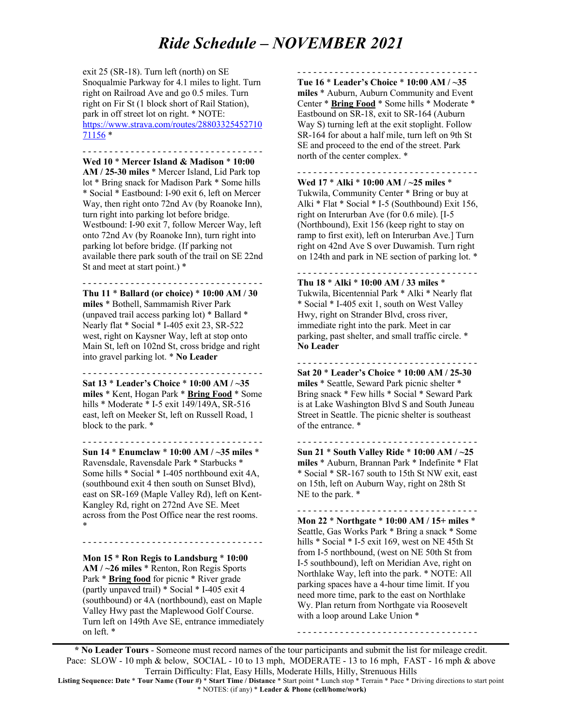## *Ride Schedule – NOVEMBER 2021*

exit 25 (SR-18). Turn left (north) on SE Snoqualmie Parkway for 4.1 miles to light. Turn right on Railroad Ave and go 0.5 miles. Turn right on Fir St (1 block short of Rail Station), park in off street lot on right. \* NOTE: https://www.strava.com/routes/28803325452710 71156 \*

- - - - - - - - - - - - - - - - - - - - - - - - - - - - - - - - - - **Wed 10** \* **Mercer Island & Madison** \* **10:00 AM / 25-30 miles** \* Mercer Island, Lid Park top lot \* Bring snack for Madison Park \* Some hills \* Social \* Eastbound: I-90 exit 6, left on Mercer Way, then right onto 72nd Ay (by Roanoke Inn). turn right into parking lot before bridge. Westbound: I-90 exit 7, follow Mercer Way, left onto 72nd Av (by Roanoke Inn), turn right into parking lot before bridge. (If parking not available there park south of the trail on SE 22nd St and meet at start point.) \*

- - - - - - - - - - - - - - - - - - - - - - - - - - - - - - - - - - **Thu 11** \* **Ballard (or choice)** \* **10:00 AM / 30 miles** \* Bothell, Sammamish River Park (unpaved trail access parking lot) \* Ballard \* Nearly flat \* Social \* I-405 exit 23, SR-522 west, right on Kaysner Way, left at stop onto Main St, left on 102nd St, cross bridge and right into gravel parking lot. \* **No Leader**

- - - - - - - - - - - - - - - - - - - - - - - - - - - - - - - - - - **Sat 13** \* **Leader's Choice** \* **10:00 AM / ~35 miles** \* Kent, Hogan Park \* **Bring Food** \* Some hills \* Moderate \* I-5 exit 149/149A, SR-516 east, left on Meeker St, left on Russell Road, 1 block to the park. \*

- - - - - - - - - - - - - - - - - - - - - - - - - - - - - - - - - - **Sun 14** \* **Enumclaw** \* **10:00 AM / ~35 miles** \* Ravensdale, Ravensdale Park \* Starbucks \* Some hills \* Social \* I-405 northbound exit 4A, (southbound exit 4 then south on Sunset Blvd), east on SR-169 (Maple Valley Rd), left on Kent-Kangley Rd, right on 272nd Ave SE. Meet across from the Post Office near the rest rooms. \*

**Mon 15** \* **Ron Regis to Landsburg** \* **10:00 AM / ~26 miles** \* Renton, Ron Regis Sports Park \* **Bring food** for picnic \* River grade (partly unpaved trail) \* Social \* I-405 exit 4 (southbound) or 4A (northbound), east on Maple Valley Hwy past the Maplewood Golf Course. Turn left on 149th Ave SE, entrance immediately on left. \*

- - - - - - - - - - - - - - - - - - - - - - - - - - - - - - - - - -

- - - - - - - - - - - - - - - - - - - - - - - - - - - - - - - - - - **Tue 16** \* **Leader's Choice** \* **10:00 AM / ~35** 

**miles** \* Auburn, Auburn Community and Event Center \* **Bring Food** \* Some hills \* Moderate \* Eastbound on SR-18, exit to SR-164 (Auburn Way S) turning left at the exit stoplight. Follow SR-164 for about a half mile, turn left on 9th St SE and proceed to the end of the street. Park north of the center complex. \*

- - - - - - - - - - - - - - - - - - - - - - - - - - - - - - - - - -

**Wed 17** \* **Alki** \* **10:00 AM / ~25 miles** \* Tukwila, Community Center \* Bring or buy at Alki \* Flat \* Social \* I-5 (Southbound) Exit 156, right on Interurban Ave (for 0.6 mile). [I-5 (Northbound), Exit 156 (keep right to stay on ramp to first exit), left on Interurban Ave.] Turn right on 42nd Ave S over Duwamish. Turn right on 124th and park in NE section of parking lot. \*

- - - - - - - - - - - - - - - - - - - - - - - - - - - - - - - - - - **Thu 18** \* **Alki** \* **10:00 AM / 33 miles** \* Tukwila, Bicentennial Park \* Alki \* Nearly flat \* Social \* I-405 exit 1, south on West Valley Hwy, right on Strander Blvd, cross river, immediate right into the park. Meet in car parking, past shelter, and small traffic circle. \* **No Leader**

- - - - - - - - - - - - - - - - - - - - - - - - - - - - - - - - - - **Sat 20** \* **Leader's Choice** \* **10:00 AM / 25-30 miles** \* Seattle, Seward Park picnic shelter \* Bring snack \* Few hills \* Social \* Seward Park is at Lake Washington Blvd S and South Juneau Street in Seattle. The picnic shelter is southeast of the entrance. \*

- - - - - - - - - - - - - - - - - - - - - - - - - - - - - - - - - - **Sun 21** \* **South Valley Ride** \* **10:00 AM / ~25 miles** \* Auburn, Brannan Park \* Indefinite \* Flat \* Social \* SR-167 south to 15th St NW exit, east on 15th, left on Auburn Way, right on 28th St NE to the park. \*

- - - - - - - - - - - - - - - - - - - - - - - - - - - - - - - - - -

**Mon 22** \* **Northgate** \* **10:00 AM / 15+ miles** \* Seattle, Gas Works Park \* Bring a snack \* Some hills \* Social \* I-5 exit 169, west on NE 45th St from I-5 northbound, (west on NE 50th St from I-5 southbound), left on Meridian Ave, right on Northlake Way, left into the park. \* NOTE: All parking spaces have a 4-hour time limit. If you need more time, park to the east on Northlake Wy. Plan return from Northgate via Roosevelt with a loop around Lake Union \*

- - - - - - - - - - - - - - - - - - - - - - - - - - - - - - - - - -

**\* No Leader Tours** - Someone must record names of the tour participants and submit the list for mileage credit. Pace: SLOW - 10 mph & below, SOCIAL - 10 to 13 mph, MODERATE - 13 to 16 mph, FAST - 16 mph & above Terrain Difficulty: Flat, Easy Hills, Moderate Hills, Hilly, Strenuous Hills

**Listing Sequence: Date** \* **Tour Name (Tour #)** \* **Start Time / Distance** \* Start point \* Lunch stop \* Terrain \* Pace \* Driving directions to start point \* NOTES: (if any) \* **Leader & Phone (cell/home/work)**